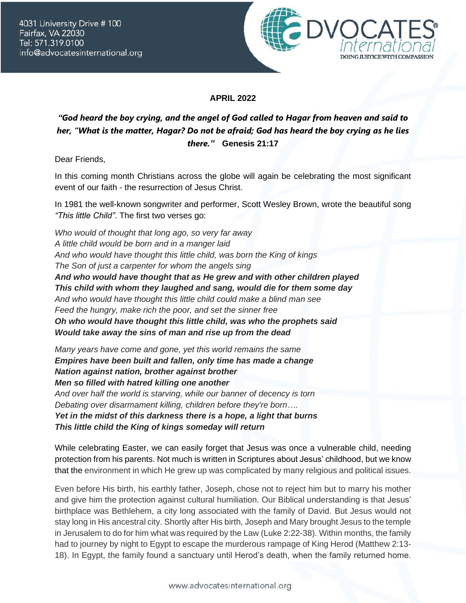

## **APRIL 2022**

## *"God heard the boy crying, and the angel of God called to Hagar from heaven and said to her, "What is the matter, Hagar? Do not be afraid; God has heard the boy crying as he lies there."* **Genesis 21:17**

Dear Friends,

In this coming month Christians across the globe will again be celebrating the most significant event of our faith - the resurrection of Jesus Christ.

In 1981 the well-known songwriter and performer, Scott Wesley Brown, wrote the beautiful song *"This little Child"*. The first two verses go:

*Who would of thought that long ago, so very far away A little child would be born and in a manger laid And who would have thought this little child, was born the King of kings The Son of just a carpenter for whom the angels sing And who would have thought that as He grew and with other children played This child with whom they laughed and sang, would die for them some day And who would have thought this little child could make a blind man see Feed the hungry, make rich the poor, and set the sinner free Oh who would have thought this little child, was who the prophets said Would take away the sins of man and rise up from the dead*

*Many years have come and gone, yet this world remains the same Empires have been built and fallen, only time has made a change Nation against nation, brother against brother Men so filled with hatred killing one another And over half the world is starving, while our banner of decency is torn Debating over disarmament killing, children before they're born….*

*Yet in the midst of this darkness there is a hope, a light that burns This little child the King of kings someday will return*

While celebrating Easter, we can easily forget that Jesus was once a vulnerable child, needing protection from his parents. Not much is written in Scriptures about Jesus' childhood, but we know that the environment in which He grew up was complicated by many religious and political issues.

Even before His birth, his earthly father, Joseph, chose not to reject him but to marry his mother and give him the protection against cultural humiliation. Our Biblical understanding is that Jesus' birthplace was Bethlehem, a city long associated with the family of David. But Jesus would not stay long in His ancestral city. Shortly after His birth, Joseph and Mary brought Jesus to the temple in Jerusalem to do for him what was required by the Law (Luke 2:22-38). Within months, the family had to journey by night to Egypt to escape the murderous rampage of King Herod (Matthew 2:13- 18). In Egypt, the family found a sanctuary until Herod's death, when the family returned home.

**©2021 ADVOCATES INTERNATIONAL®**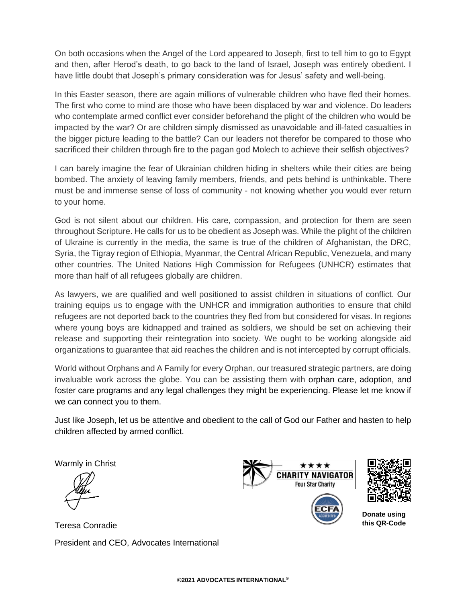On both occasions when the Angel of the Lord appeared to Joseph, first to tell him to go to Egypt and then, after Herod's death, to go back to the land of Israel, Joseph was entirely obedient. I have little doubt that Joseph's primary consideration was for Jesus' safety and well-being.

In this Easter season, there are again millions of vulnerable children who have fled their homes. The first who come to mind are those who have been displaced by war and violence. Do leaders who contemplate armed conflict ever consider beforehand the plight of the children who would be impacted by the war? Or are children simply dismissed as unavoidable and ill-fated casualties in the bigger picture leading to the battle? Can our leaders not therefor be compared to those who sacrificed their children through fire to the pagan god Molech to achieve their selfish objectives?

I can barely imagine the fear of Ukrainian children hiding in shelters while their cities are being bombed. The anxiety of leaving family members, friends, and pets behind is unthinkable. There must be and immense sense of loss of community - not knowing whether you would ever return to your home.

God is not silent about our children. His care, compassion, and protection for them are seen throughout Scripture. He calls for us to be obedient as Joseph was. While the plight of the children of Ukraine is currently in the media, the same is true of the children of Afghanistan, the DRC, Syria, the Tigray region of Ethiopia, Myanmar, the Central African Republic, Venezuela, and many other countries. The United Nations High Commission for Refugees (UNHCR) estimates that more than half of all refugees globally are children.

As lawyers, we are qualified and well positioned to assist children in situations of conflict. Our training equips us to engage with the UNHCR and immigration authorities to ensure that child refugees are not deported back to the countries they fled from but considered for visas. In regions where young boys are kidnapped and trained as soldiers, we should be set on achieving their release and supporting their reintegration into society. We ought to be working alongside aid organizations to guarantee that aid reaches the children and is not intercepted by corrupt officials.

World without Orphans and A Family for every Orphan, our treasured strategic partners, are doing invaluable work across the globe. You can be assisting them with orphan care, adoption, and foster care programs and any legal challenges they might be experiencing. Please let me know if we can connect you to them.

Just like Joseph, let us be attentive and obedient to the call of God our Father and hasten to help children affected by armed conflict.

Warmly in Christ

Teresa Conradie President and CEO, Advocates International





**Donate using this QR-Code**